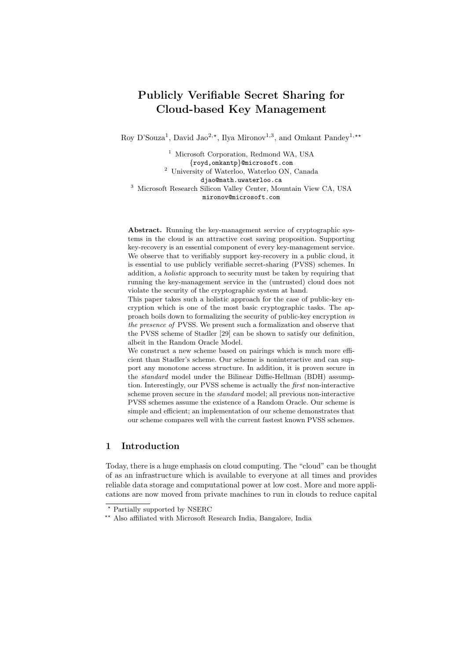# Publicly Verifiable Secret Sharing for Cloud-based Key Management

Roy D'Souza<sup>1</sup>, David Jao<sup>2,\*</sup>, Ilya Mironov<sup>1,3</sup>, and Omkant Pandey<sup>1,\*\*</sup>

<sup>1</sup> Microsoft Corporation, Redmond WA, USA {royd,omkantp}@microsoft.com

<sup>2</sup> University of Waterloo, Waterloo ON, Canada

djao@math.uwaterloo.ca

<sup>3</sup> Microsoft Research Silicon Valley Center, Mountain View CA, USA mironov@microsoft.com

Abstract. Running the key-management service of cryptographic systems in the cloud is an attractive cost saving proposition. Supporting key-recovery is an essential component of every key-management service. We observe that to verifiably support key-recovery in a public cloud, it is essential to use publicly verifiable secret-sharing (PVSS) schemes. In addition, a holistic approach to security must be taken by requiring that running the key-management service in the (untrusted) cloud does not violate the security of the cryptographic system at hand.

This paper takes such a holistic approach for the case of public-key encryption which is one of the most basic cryptographic tasks. The approach boils down to formalizing the security of public-key encryption in the presence of PVSS. We present such a formalization and observe that the PVSS scheme of Stadler [29] can be shown to satisfy our definition, albeit in the Random Oracle Model.

We construct a new scheme based on pairings which is much more efficient than Stadler's scheme. Our scheme is noninteractive and can support any monotone access structure. In addition, it is proven secure in the standard model under the Bilinear Diffie-Hellman (BDH) assumption. Interestingly, our PVSS scheme is actually the first non-interactive scheme proven secure in the standard model; all previous non-interactive PVSS schemes assume the existence of a Random Oracle. Our scheme is simple and efficient; an implementation of our scheme demonstrates that our scheme compares well with the current fastest known PVSS schemes.

## 1 Introduction

Today, there is a huge emphasis on cloud computing. The "cloud" can be thought of as an infrastructure which is available to everyone at all times and provides reliable data storage and computational power at low cost. More and more applications are now moved from private machines to run in clouds to reduce capital

<sup>?</sup> Partially supported by NSERC

<sup>\*\*</sup> Also affiliated with Microsoft Research India, Bangalore, India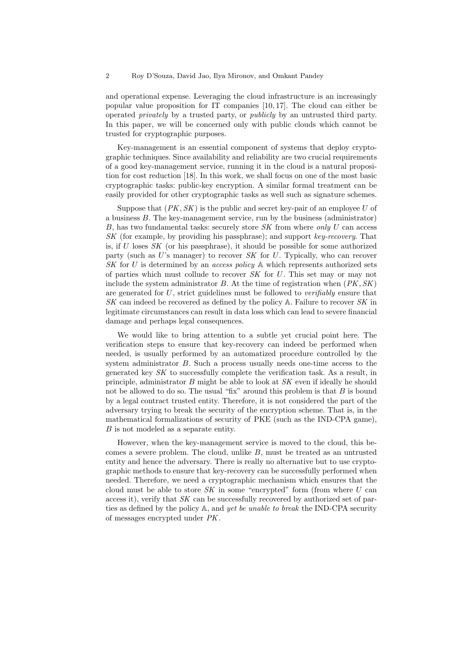and operational expense. Leveraging the cloud infrastructure is an increasingly popular value proposition for IT companies [10, 17]. The cloud can either be operated privately by a trusted party, or publicly by an untrusted third party. In this paper, we will be concerned only with public clouds which cannot be trusted for cryptographic purposes.

Key-management is an essential component of systems that deploy cryptographic techniques. Since availability and reliability are two crucial requirements of a good key-management service, running it in the cloud is a natural proposition for cost reduction [18]. In this work, we shall focus on one of the most basic cryptographic tasks: public-key encryption. A similar formal treatment can be easily provided for other cryptographic tasks as well such as signature schemes.

Suppose that  $(PK, SK)$  is the public and secret key-pair of an employee U of a business  $B$ . The key-management service, run by the business (administrator)  $B$ , has two fundamental tasks: securely store SK from where only  $U$  can access SK (for example, by providing his passphrase); and support key-recovery. That is, if U loses  $SK$  (or his passphrase), it should be possible for some authorized party (such as  $U$ 's manager) to recover  $SK$  for  $U$ . Typically, who can recover  $SK$  for U is determined by an *access policy*  $\mathbb A$  which represents authorized sets of parties which must collude to recover SK for U. This set may or may not include the system administrator  $B$ . At the time of registration when  $(PK, SK)$ are generated for  $U$ , strict guidelines must be followed to *verifiably* ensure that  $SK$  can indeed be recovered as defined by the policy  $A$ . Failure to recover  $SK$  in legitimate circumstances can result in data loss which can lead to severe financial damage and perhaps legal consequences.

We would like to bring attention to a subtle yet crucial point here. The verification steps to ensure that key-recovery can indeed be performed when needed, is usually performed by an automatized procedure controlled by the system administrator B. Such a process usually needs one-time access to the generated key SK to successfully complete the verification task. As a result, in principle, administrator B might be able to look at SK even if ideally he should not be allowed to do so. The usual "fix" around this problem is that  $B$  is bound by a legal contract trusted entity. Therefore, it is not considered the part of the adversary trying to break the security of the encryption scheme. That is, in the mathematical formalizations of security of PKE (such as the IND-CPA game), B is not modeled as a separate entity.

However, when the key-management service is moved to the cloud, this becomes a severe problem. The cloud, unlike  $B$ , must be treated as an untrusted entity and hence the adversary. There is really no alternative but to use cryptographic methods to ensure that key-recovery can be successfully performed when needed. Therefore, we need a cryptographic mechanism which ensures that the cloud must be able to store  $SK$  in some "encrypted" form (from where  $U$  can access it), verify that SK can be successfully recovered by authorized set of parties as defined by the policy  $A$ , and yet be unable to break the IND-CPA security of messages encrypted under PK.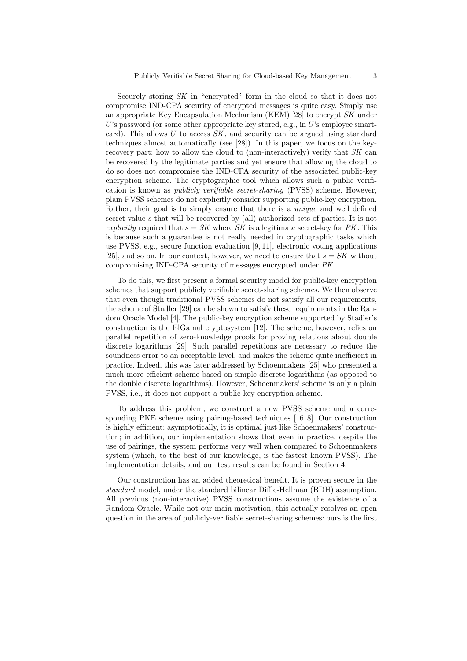Securely storing SK in "encrypted" form in the cloud so that it does not compromise IND-CPA security of encrypted messages is quite easy. Simply use an appropriate Key Encapsulation Mechanism (KEM) [28] to encrypt SK under  $U$ 's password (or some other appropriate key stored, e.g., in  $U$ 's employee smartcard). This allows U to access  $SK$ , and security can be argued using standard techniques almost automatically (see [28]). In this paper, we focus on the keyrecovery part: how to allow the cloud to (non-interactively) verify that SK can be recovered by the legitimate parties and yet ensure that allowing the cloud to do so does not compromise the IND-CPA security of the associated public-key encryption scheme. The cryptographic tool which allows such a public verification is known as publicly verifiable secret-sharing (PVSS) scheme. However, plain PVSS schemes do not explicitly consider supporting public-key encryption. Rather, their goal is to simply ensure that there is a *unique* and well defined secret value s that will be recovered by (all) authorized sets of parties. It is not explicitly required that  $s = SK$  where SK is a legitimate secret-key for PK. This is because such a guarantee is not really needed in cryptographic tasks which use PVSS, e.g., secure function evaluation [9, 11], electronic voting applications [25], and so on. In our context, however, we need to ensure that  $s = SK$  without compromising IND-CPA security of messages encrypted under PK.

To do this, we first present a formal security model for public-key encryption schemes that support publicly verifiable secret-sharing schemes. We then observe that even though traditional PVSS schemes do not satisfy all our requirements, the scheme of Stadler [29] can be shown to satisfy these requirements in the Random Oracle Model [4]. The public-key encryption scheme supported by Stadler's construction is the ElGamal cryptosystem [12]. The scheme, however, relies on parallel repetition of zero-knowledge proofs for proving relations about double discrete logarithms [29]. Such parallel repetitions are necessary to reduce the soundness error to an acceptable level, and makes the scheme quite inefficient in practice. Indeed, this was later addressed by Schoenmakers [25] who presented a much more efficient scheme based on simple discrete logarithms (as opposed to the double discrete logarithms). However, Schoenmakers' scheme is only a plain PVSS, i.e., it does not support a public-key encryption scheme.

To address this problem, we construct a new PVSS scheme and a corresponding PKE scheme using pairing-based techniques [16, 8]. Our construction is highly efficient: asymptotically, it is optimal just like Schoenmakers' construction; in addition, our implementation shows that even in practice, despite the use of pairings, the system performs very well when compared to Schoenmakers system (which, to the best of our knowledge, is the fastest known PVSS). The implementation details, and our test results can be found in Section 4.

Our construction has an added theoretical benefit. It is proven secure in the standard model, under the standard bilinear Diffie-Hellman (BDH) assumption. All previous (non-interactive) PVSS constructions assume the existence of a Random Oracle. While not our main motivation, this actually resolves an open question in the area of publicly-verifiable secret-sharing schemes: ours is the first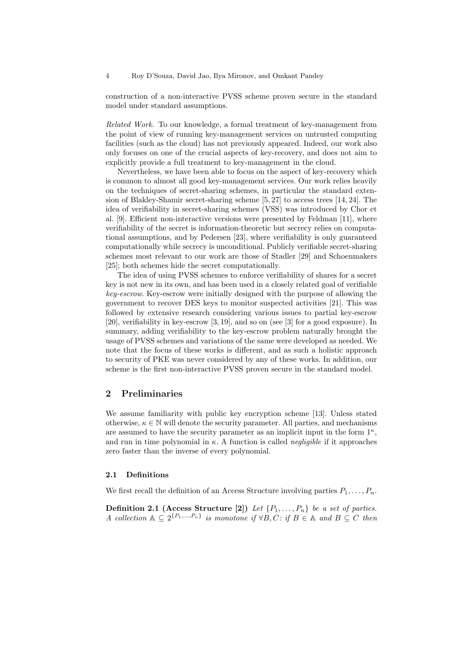construction of a non-interactive PVSS scheme proven secure in the standard model under standard assumptions.

Related Work. To our knowledge, a formal treatment of key-management from the point of view of running key-management services on untrusted computing facilities (such as the cloud) has not previously appeared. Indeed, our work also only focuses on one of the crucial aspects of key-recovery, and does not aim to explicitly provide a full treatment to key-management in the cloud.

Nevertheless, we have been able to focus on the aspect of key-recovery which is common to almost all good key-management services. Our work relies heavily on the techniques of secret-sharing schemes, in particular the standard extension of Blakley-Shamir secret-sharing scheme [5, 27] to access trees [14, 24]. The idea of verifiability in secret-sharing schemes (VSS) was introduced by Chor et al. [9]. Efficient non-interactive versions were presented by Feldman [11], where verifiability of the secret is information-theoretic but secrecy relies on computational assumptions, and by Pedersen [23], where verifiability is only guaranteed computationally while secrecy is unconditional. Publicly verifiable secret-sharing schemes most relevant to our work are those of Stadler [29] and Schoenmakers [25]; both schemes hide the secret computationally.

The idea of using PVSS schemes to enforce verifiability of shares for a secret key is not new in its own, and has been used in a closely related goal of verifiable key-escrow. Key-escrow were initially designed with the purpose of allowing the government to recover DES keys to monitor suspected activities [21]. This was followed by extensive research considering various issues to partial key-escrow [20], verifiability in key-escrow [3, 19], and so on (see [3] for a good exposure). In summary, adding verifiability to the key-escrow problem naturally brought the usage of PVSS schemes and variations of the same were developed as needed. We note that the focus of these works is different, and as such a holistic approach to security of PKE was never considered by any of these works. In addition, our scheme is the first non-interactive PVSS proven secure in the standard model.

## 2 Preliminaries

We assume familiarity with public key encryption scheme [13]. Unless stated otherwise,  $\kappa \in \mathbb{N}$  will denote the security parameter. All parties, and mechanisms are assumed to have the security parameter as an implicit input in the form  $1^{\kappa}$ , and run in time polynomial in  $\kappa$ . A function is called *negligible* if it approaches zero faster than the inverse of every polynomial.

#### 2.1 Definitions

We first recall the definition of an Access Structure involving parties  $P_1, \ldots, P_n$ .

**Definition 2.1 (Access Structure [2])** Let  $\{P_1, \ldots, P_n\}$  be a set of parties. A collection  $A \subseteq 2^{\{P_1,\ldots,P_n\}}$  is monotone if  $\forall B,C:$  if  $B \in A$  and  $B \subseteq C$  then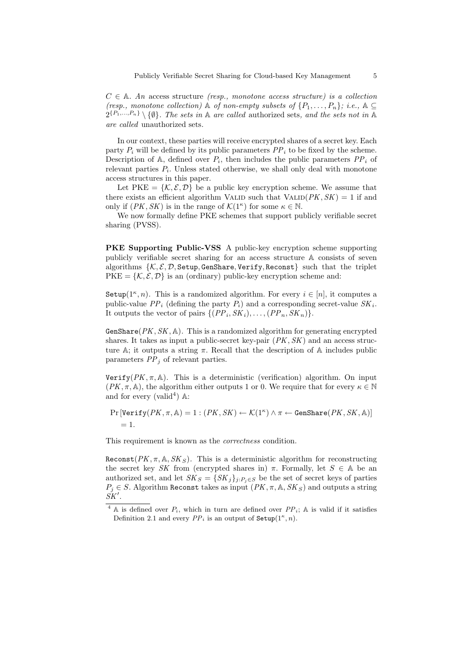$C \in \mathbb{A}$ . An access structure (resp., monotone access structure) is a collection (resp., monotone collection) A of non-empty subsets of  $\{P_1, \ldots, P_n\}$ ; i.e.,  $A \subseteq$  $2^{\{P_1,\ldots,P_n\}} \setminus \{\emptyset\}$ . The sets in A are called authorized sets, and the sets not in A are called unauthorized sets.

In our context, these parties will receive encrypted shares of a secret key. Each party  $P_i$  will be defined by its public parameters  $PP_i$  to be fixed by the scheme. Description of A, defined over  $P_i$ , then includes the public parameters  $PP_i$  of relevant parties  $P_i$ . Unless stated otherwise, we shall only deal with monotone access structures in this paper.

Let PKE =  $\{\mathcal{K}, \mathcal{E}, \mathcal{D}\}$  be a public key encryption scheme. We assume that there exists an efficient algorithm VALID such that  $VALID(PK, SK) = 1$  if and only if  $(PK, SK)$  is in the range of  $\mathcal{K}(1^{\kappa})$  for some  $\kappa \in \mathbb{N}$ .

We now formally define PKE schemes that support publicly verifiable secret sharing (PVSS).

PKE Supporting Public-VSS A public-key encryption scheme supporting publicly verifiable secret sharing for an access structure A consists of seven algorithms  $\{K, \mathcal{E}, \mathcal{D}, \mathsf{Setup}, \mathsf{GenShare}, \mathsf{Verify}, \mathsf{Reconst}\}$  such that the triplet  $PKE = \{K, \mathcal{E}, \mathcal{D}\}\$ is an (ordinary) public-key encryption scheme and:

Setup( $1^{\kappa}, n$ ). This is a randomized algorithm. For every  $i \in [n]$ , it computes a public-value  $PP_i$  (defining the party  $P_i$ ) and a corresponding secret-value  $SK_i$ . It outputs the vector of pairs  $\{(PP_i, SK_i), \ldots, (PP_n, SK_n)\}.$ 

GenShare( $PK, SK, \mathbb{A}$ ). This is a randomized algorithm for generating encrypted shares. It takes as input a public-secret key-pair  $(PK, SK)$  and an access structure A; it outputs a string  $\pi$ . Recall that the description of A includes public parameters  $PP_j$  of relevant parties.

Verify( $PK, \pi, A$ ). This is a deterministic (verification) algorithm. On input  $(PK, \pi, \mathbb{A})$ , the algorithm either outputs 1 or 0. We require that for every  $\kappa \in \mathbb{N}$ and for every (valid<sup>4</sup>)  $\mathbb{A}$ :

$$
\Pr\left[\texttt{Verify}(PK,\pi,\mathbb{A})=1:(PK,SK)\leftarrow \mathcal{K}(1^{\kappa}) \land \pi \leftarrow \texttt{GenShare}(PK,SK,\mathbb{A})\right] \\ = 1.
$$

This requirement is known as the *correctness* condition.

 $\text{Reconst}(PK, \pi, \mathbb{A}, SK_S)$ . This is a deterministic algorithm for reconstructing the secret key SK from (encrypted shares in)  $\pi$ . Formally, let  $S \in A$  be an authorized set, and let  $SK_S = \{SK_j\}_{j:P_j \in S}$  be the set of secret keys of parties  $P_j \in S$ . Algorithm Reconst takes as input  $(PK, \pi, \mathbb{A}, SK_S)$  and outputs a string  $\check{SK}'.$ 

<sup>&</sup>lt;sup>4</sup> A is defined over  $P_i$ , which in turn are defined over  $PP_i$ ; A is valid if it satisfies Definition 2.1 and every  $PP_i$  is an output of  $\texttt{Setup}(1^{\kappa},n)$ .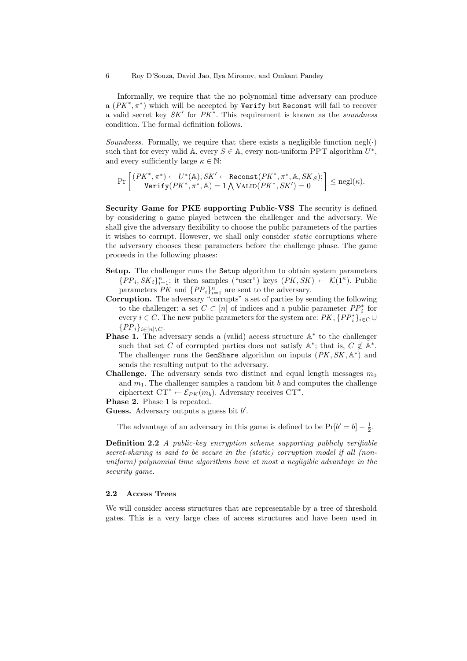Informally, we require that the no polynomial time adversary can produce a  $(PK^*, \pi^*)$  which will be accepted by Verify but Reconst will fail to recover a valid secret key  $SK'$  for  $PK^*$ . This requirement is known as the soundness condition. The formal definition follows.

Soundness. Formally, we require that there exists a negligible function negl( $\cdot$ ) such that for every valid A, every  $S \in A$ , every non-uniform PPT algorithm  $U^*$ , and every sufficiently large  $\kappa \in \mathbb{N}$ :

$$
\Pr\left[\frac{(PK^*,\pi^*) \leftarrow U^*(\mathbb{A}); SK' \leftarrow \text{Reconst}(PK^*,\pi^*,\mathbb{A},SK_S);}{\text{Verify}(PK^*,\pi^*,\mathbb{A}) = 1\bigwedge \text{ValID}(PK^*,SK') = 0}\right] \leq {\rm negl}(\kappa).
$$

Security Game for PKE supporting Public-VSS The security is defined by considering a game played between the challenger and the adversary. We shall give the adversary flexibility to choose the public parameters of the parties it wishes to corrupt. However, we shall only consider static corruptions where the adversary chooses these parameters before the challenge phase. The game proceeds in the following phases:

- Setup. The challenger runs the Setup algorithm to obtain system parameters  $\{PP_i, SK_i\}_{i=1}^n$ ; it then samples ("user") keys  $(PK, SK) \leftarrow \mathcal{K}(1^{\kappa})$ . Public parameters  $PK$  and  $\{PP_i\}_{i=1}^n$  are sent to the adversary.
- Corruption. The adversary "corrupts" a set of parties by sending the following to the challenger: a set  $C \subset [n]$  of indices and a public parameter  $PP_i^*$  for every  $i \in C$ . The new public parameters for the system are:  $PK$ ,  $\{PP_i^*\}_{i \in C} \cup$  $\{PP_i\}_{i\in[n]\setminus C}$ .
- **Phase 1.** The adversary sends a (valid) access structure  $A^*$  to the challenger such that set C of corrupted parties does not satisfy  $\mathbb{A}^*$ ; that is,  $C \notin \mathbb{A}^*$ . The challenger runs the GenShare algorithm on inputs  $(PK, SK, \mathbb{A}^*)$  and sends the resulting output to the adversary.
- **Challenge.** The adversary sends two distinct and equal length messages  $m_0$ and  $m_1$ . The challenger samples a random bit b and computes the challenge ciphertext  $CT^* \leftarrow \mathcal{E}_{PK}(m_b)$ . Adversary receives  $CT^*$ .

The advantage of an adversary in this game is defined to be  $Pr[b' = b] - \frac{1}{2}$ .

Definition 2.2 A public-key encryption scheme supporting publicly verifiable secret-sharing is said to be secure in the (static) corruption model if all (nonuniform) polynomial time algorithms have at most a negligible advantage in the security game.

#### 2.2 Access Trees

We will consider access structures that are representable by a tree of threshold gates. This is a very large class of access structures and have been used in

Phase 2. Phase 1 is repeated.

Guess. Adversary outputs a guess bit  $b'$ .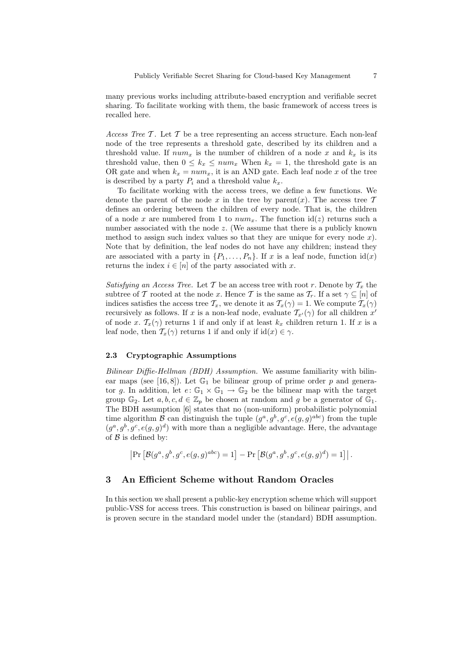many previous works including attribute-based encryption and verifiable secret sharing. To facilitate working with them, the basic framework of access trees is recalled here.

*Access Tree T.* Let T be a tree representing an access structure. Each non-leaf node of the tree represents a threshold gate, described by its children and a threshold value. If  $num_x$  is the number of children of a node x and  $k_x$  is its threshold value, then  $0 \leq k_x \leq num_x$  When  $k_x = 1$ , the threshold gate is an OR gate and when  $k_x = num_x$ , it is an AND gate. Each leaf node x of the tree is described by a party  $P_i$  and a threshold value  $k_x$ .

To facilitate working with the access trees, we define a few functions. We denote the parent of the node x in the tree by parent $(x)$ . The access tree T defines an ordering between the children of every node. That is, the children of a node x are numbered from 1 to  $num_x$ . The function  $id(z)$  returns such a number associated with the node z. (We assume that there is a publicly known method to assign such index values so that they are unique for every node  $x$ ). Note that by definition, the leaf nodes do not have any children; instead they are associated with a party in  $\{P_1, \ldots, P_n\}$ . If x is a leaf node, function  $id(x)$ returns the index  $i \in [n]$  of the party associated with x.

Satisfying an Access Tree. Let T be an access tree with root r. Denote by  $\mathcal{T}_x$  the subtree of T rooted at the node x. Hence T is the same as  $\mathcal{T}_r$ . If a set  $\gamma \subseteq [n]$  of indices satisfies the access tree  $\mathcal{T}_x$ , we denote it as  $\mathcal{T}_x(\gamma) = 1$ . We compute  $\mathcal{T}_x(\gamma)$ recursively as follows. If x is a non-leaf node, evaluate  $\mathcal{T}_{x'}(\gamma)$  for all children  $x'$ of node x.  $\mathcal{T}_x(\gamma)$  returns 1 if and only if at least  $k_x$  children return 1. If x is a leaf node, then  $\mathcal{T}_x(\gamma)$  returns 1 if and only if  $id(x) \in \gamma$ .

#### 2.3 Cryptographic Assumptions

Bilinear Diffie-Hellman *(BDH)* Assumption. We assume familiarity with bilinear maps (see [16,8]). Let  $\mathbb{G}_1$  be bilinear group of prime order p and generator g. In addition, let  $e: \mathbb{G}_1 \times \mathbb{G}_1 \to \mathbb{G}_2$  be the bilinear map with the target group  $\mathbb{G}_2$ . Let  $a, b, c, d \in \mathbb{Z}_p$  be chosen at random and g be a generator of  $\mathbb{G}_1$ . The BDH assumption [6] states that no (non-uniform) probabilistic polynomial time algorithm  $\mathcal B$  can distinguish the tuple  $(g^a, g^b, g^c, e(g, g)^{abc})$  from the tuple  $(g^a, g^b, g^c, e(g, g)^d)$  with more than a negligible advantage. Here, the advantage of  $\beta$  is defined by:

$$
\left|\Pr\left[\mathcal{B}(g^a, g^b, g^c, e(g,g)^{abc})=1\right]-\Pr\left[\mathcal{B}(g^a, g^b, g^c, e(g,g)^d)=1\right]\right|.
$$

## 3 An Efficient Scheme without Random Oracles

In this section we shall present a public-key encryption scheme which will support public-VSS for access trees. This construction is based on bilinear pairings, and is proven secure in the standard model under the (standard) BDH assumption.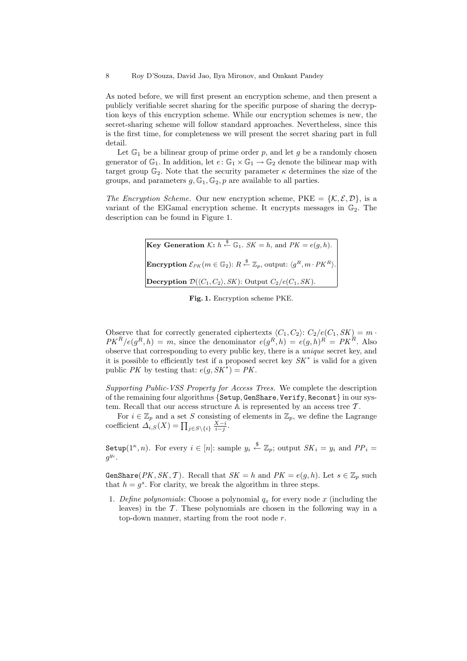As noted before, we will first present an encryption scheme, and then present a publicly verifiable secret sharing for the specific purpose of sharing the decryption keys of this encryption scheme. While our encryption schemes is new, the secret-sharing scheme will follow standard approaches. Nevertheless, since this is the first time, for completeness we will present the secret sharing part in full detail.

Let  $\mathbb{G}_1$  be a bilinear group of prime order p, and let g be a randomly chosen generator of  $\mathbb{G}_1$ . In addition, let  $e: \mathbb{G}_1 \times \mathbb{G}_1 \to \mathbb{G}_2$  denote the bilinear map with target group  $\mathbb{G}_2$ . Note that the security parameter  $\kappa$  determines the size of the groups, and parameters  $q, \mathbb{G}_1, \mathbb{G}_2, p$  are available to all parties.

The Encryption Scheme. Our new encryption scheme,  $PKE = \{K, \mathcal{E}, \mathcal{D}\}\$ , is a variant of the ElGamal encryption scheme. It encrypts messages in  $\mathbb{G}_2$ . The description can be found in Figure 1.

| <b>Key Generation</b> $K: h \stackrel{\$}{\leftarrow} \mathbb{G}_1$ . $SK = h$ , and $PK = e(g, h)$ .                                                 |
|-------------------------------------------------------------------------------------------------------------------------------------------------------|
| <b>Encryption</b> $\mathcal{E}_{PK}(m \in \mathbb{G}_2)$ : $R \stackrel{\$}{\leftarrow} \mathbb{Z}_p$ , output: $\langle g^R, m \cdot PK^R \rangle$ . |
| <b>Decryption</b> $\mathcal{D}(\langle C_1, C_2 \rangle, SK)$ : Output $C_2/e(C_1, SK)$ .                                                             |

Fig. 1. Encryption scheme PKE.

Observe that for correctly generated ciphertexts  $\langle C_1, C_2 \rangle: C_2/e(C_1, SK) = m$ .  $PK^R/e(g^R, h) = m$ , since the denominator  $e(g^R, h) = e(g, h)^R = PK^R$ . Also observe that corresponding to every public key, there is a unique secret key, and it is possible to efficiently test if a proposed secret key  $SK^*$  is valid for a given public PK by testing that:  $e(g, SK^*) = PK$ .

Supporting Public-VSS Property for Access Trees. We complete the description of the remaining four algorithms {Setup, GenShare, Verify, Reconst} in our system. Recall that our access structure  $A$  is represented by an access tree  $T$ .

For  $i \in \mathbb{Z}_p$  and a set S consisting of elements in  $\mathbb{Z}_p$ , we define the Lagrange coefficient  $\Delta_{i,S}(X) = \prod_{j \in S \setminus \{i\}} \frac{X - i}{i - j}$ .

Setup $(1^{\kappa}, n)$ . For every  $i \in [n]$ : sample  $y_i \stackrel{\$}{\leftarrow} \mathbb{Z}_p$ ; output  $SK_i = y_i$  and  $PP_i =$  $g^{y_i}$ .

GenShare(PK, SK, T). Recall that  $SK = h$  and  $PK = e(g, h)$ . Let  $s \in \mathbb{Z}_p$  such that  $h = g<sup>s</sup>$ . For clarity, we break the algorithm in three steps.

1. Define polynomials: Choose a polynomial  $q_x$  for every node x (including the leaves) in the  $\mathcal T$ . These polynomials are chosen in the following way in a top-down manner, starting from the root node r.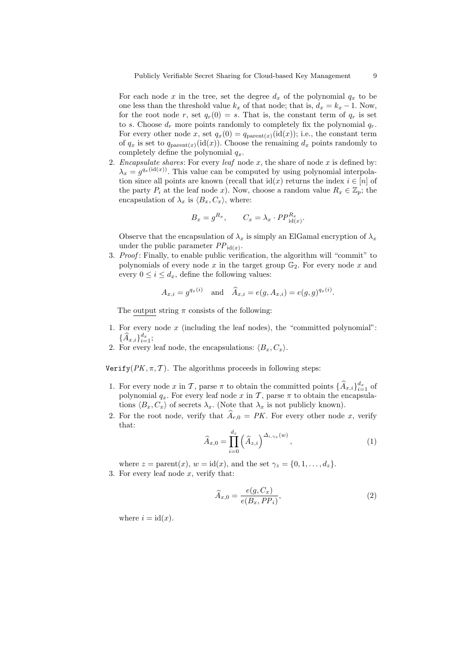For each node x in the tree, set the degree  $d_x$  of the polynomial  $q_x$  to be one less than the threshold value  $k_x$  of that node; that is,  $d_x = k_x - 1$ . Now, for the root node r, set  $q_r(0) = s$ . That is, the constant term of  $q_r$  is set to s. Choose  $d_r$  more points randomly to completely fix the polynomial  $q_r$ . For every other node x, set  $q_x(0) = q_{\text{parent}(x)}(\text{id}(x))$ ; i.e., the constant term of  $q_x$  is set to  $q_{\text{parent}(x)}(\text{id}(x))$ . Choose the remaining  $d_x$  points randomly to completely define the polynomial  $q_x$ .

2. Encapsulate shares: For every leaf node x, the share of node x is defined by:  $\lambda_x = g^{q_x(\text{id}(x))}$ . This value can be computed by using polynomial interpolation since all points are known (recall that  $\mathrm{id}(x)$  returns the index  $i \in [n]$  of the party  $P_i$  at the leaf node x). Now, choose a random value  $R_x \in \mathbb{Z}_p$ ; the encapsulation of  $\lambda_x$  is  $\langle B_x, C_x \rangle$ , where:

$$
B_x = g^{R_x}, \qquad C_x = \lambda_x \cdot PP_{\text{id}(x)}^{R_x}.
$$

Observe that the encapsulation of  $\lambda_x$  is simply an ElGamal encryption of  $\lambda_x$ under the public parameter  $PP_{\text{id}(x)}$ .

3. Proof: Finally, to enable public verification, the algorithm will "commit" to polynomials of every node  $x$  in the target group  $\mathbb{G}_2$ . For every node  $x$  and every  $0 \leq i \leq d_x$ , define the following values:

$$
A_{x,i} = g^{q_x(i)}
$$
 and  $\hat{A}_{x,i} = e(g, A_{x,i}) = e(g, g)^{q_x(i)}$ .

The output string  $\pi$  consists of the following:

- 1. For every node  $x$  (including the leaf nodes), the "committed polynomial":  $\{\widehat{A}_{x,i}\}_{i=1}^{d_x};$
- 2. For every leaf node, the encapsulations:  $\langle B_x, C_x \rangle$ .

Verify( $PK, \pi, T$ ). The algorithms proceeds in following steps:

- 1. For every node x in T, parse  $\pi$  to obtain the committed points  $\{\hat{A}_{x,i}\}_{i=1}^{d_x}$  of polynomial  $q_x$ . For every leaf node x in T, parse  $\pi$  to obtain the encapsulations  $\langle B_x, C_x \rangle$  of secrets  $\lambda_x$ . (Note that  $\lambda_x$  is not publicly known).
- 2. For the root node, verify that  $\widehat{A}_{r,0} = PK$ . For every other node x, verify that:

$$
\widehat{A}_{x,0} = \prod_{i=0}^{d_z} \left(\widehat{A}_{z,i}\right)^{\Delta_{i,\gamma_z}(w)},\tag{1}
$$

where  $z = \text{parent}(x)$ ,  $w = \text{id}(x)$ , and the set  $\gamma_z = \{0, 1, \ldots, d_z\}.$ 3. For every leaf node  $x$ , verify that:

$$
\widehat{A}_{x,0} = \frac{e(g, C_x)}{e(B_x, PP_i)},\tag{2}
$$

where  $i = id(x)$ .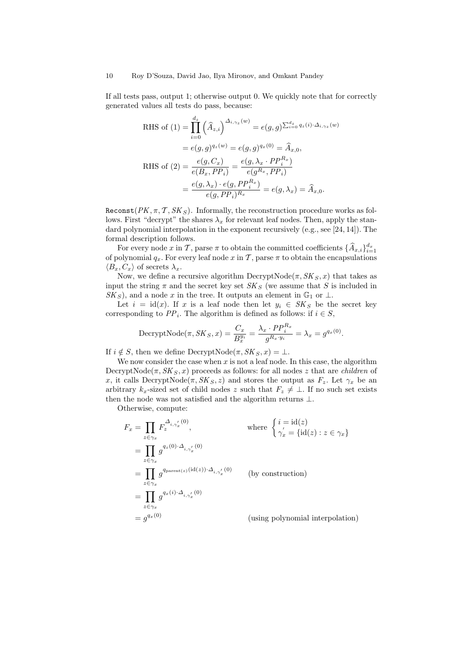If all tests pass, output 1; otherwise output 0. We quickly note that for correctly generated values all tests do pass, because:

RHS of (1) = 
$$
\prod_{i=0}^{d_z} (\hat{A}_{z,i})^{\Delta_{i,\gamma_z}(w)} = e(g,g)^{\sum_{i=0}^{d_z} q_z(i)\cdot \Delta_{i,\gamma_z}(w)}
$$
  
\n=  $e(g,g)^{q_z(w)} = e(g,g)^{q_x(0)} = \hat{A}_{x,0},$   
\nRHS of (2) = 
$$
\frac{e(g,C_x)}{e(B_x,PP_i)} = \frac{e(g,\lambda_x \cdot PP_i^{R_x})}{e(g^{R_x},PP_i)}
$$
  
\n= 
$$
\frac{e(g,\lambda_x) \cdot e(g,PP_i^{R_x})}{e(g,PP_i)^{R_x}} = e(g,\lambda_x) = \hat{A}_{x,0}.
$$

 $\text{Reconst}(PK, \pi, T, SK_S)$ . Informally, the reconstruction procedure works as follows. First "decrypt" the shares  $\lambda_x$  for relevant leaf nodes. Then, apply the standard polynomial interpolation in the exponent recursively (e.g., see [24, 14]). The formal description follows.

For every node x in T, parse  $\pi$  to obtain the committed coefficients  $\{\hat{A}_{x,i}\}_{i=1}^{d_x}$ of polynomial  $q_x$ . For every leaf node x in T, parse  $\pi$  to obtain the encapsulations  $\langle B_x, C_x \rangle$  of secrets  $\lambda_x$ .

Now, we define a recursive algorithm  $\text{DecryptNode}(\pi, SK_S, x)$  that takes as input the string  $\pi$  and the secret key set  $SK_S$  (we assume that S is included in  $SK_S$ ), and a node x in the tree. It outputs an element in  $\mathbb{G}_1$  or  $\bot$ .

Let  $i = id(x)$ . If x is a leaf node then let  $y_i \in SK_S$  be the secret key corresponding to  $PP_i$ . The algorithm is defined as follows: if  $i \in S$ ,

$$
\text{DecryptNode}(\pi, SK_S, x) = \frac{C_x}{B_x^{y_i}} = \frac{\lambda_x \cdot PP_i^{R_x}}{g^{R_x \cdot y_i}} = \lambda_x = g^{q_x(0)}.
$$

If  $i \notin S$ , then we define DecryptNode $(\pi, SK_S, x) = \bot$ .

We now consider the case when  $x$  is not a leaf node. In this case, the algorithm DecryptNode( $\pi$ ,  $SK_S$ , x) proceeds as follows: for all nodes z that are *children* of x, it calls DecryptNode( $\pi$ ,  $SK_S, z$ ) and stores the output as  $F_z$ . Let  $\gamma_x$  be an arbitrary k<sub>x</sub>-sized set of child nodes z such that  $F_z \neq \bot$ . If no such set exists then the node was not satisfied and the algorithm returns  $\bot$ .

Otherwise, compute:

$$
F_x = \prod_{z \in \gamma_x} F_z^{\Delta_{i, \gamma'_x}(0)}, \qquad \text{where } \begin{cases} i = \text{id}(z) \\ \gamma'_x = \{ \text{id}(z) : z \in \gamma_x \} \end{cases}
$$
  
\n
$$
= \prod_{z \in \gamma_x} g^{q_z(0) \cdot \Delta_{i, \gamma'_x}(0)}
$$
  
\n
$$
= \prod_{z \in \gamma_x} g^{q_{\text{parent}(z)}(\text{id}(z)) \cdot \Delta_{i, \gamma'_x}(0)}
$$
 (by construction)  
\n
$$
= \prod_{z \in \gamma_x} g^{q_x(i) \cdot \Delta_{i, \gamma'_x}(0)}
$$
  
\n
$$
= g^{q_x(0)}
$$
 (using polynomial interpolation)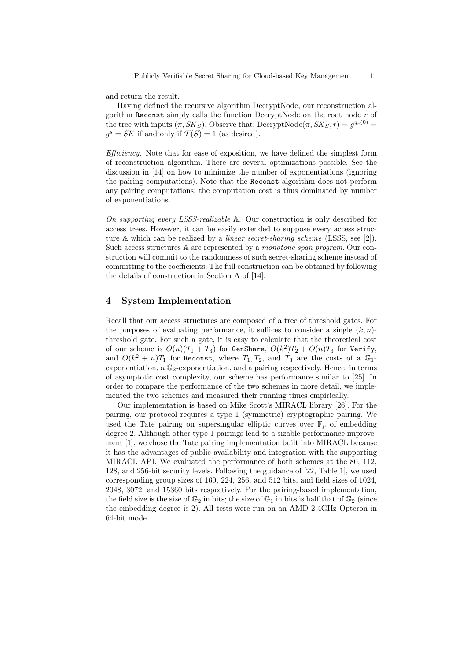and return the result.

Having defined the recursive algorithm DecryptNode, our reconstruction algorithm Reconst simply calls the function DecryptNode on the root node  $r$  of the tree with inputs  $(\pi, SK_S)$ . Observe that: DecryptNode $(\pi, SK_S, r) = g^{q_r(0)} =$  $g^s = SK$  if and only if  $\mathcal{T}(S) = 1$  (as desired).

 $Efficiency.$  Note that for ease of exposition, we have defined the simplest form of reconstruction algorithm. There are several optimizations possible. See the discussion in [14] on how to minimize the number of exponentiations (ignoring the pairing computations). Note that the Reconst algorithm does not perform any pairing computations; the computation cost is thus dominated by number of exponentiations.

On supporting every LSSS-realizable A. Our construction is only described for access trees. However, it can be easily extended to suppose every access structure A which can be realized by a *linear secret-sharing scheme* (LSSS, see [2]). Such access structures A are represented by a monotone span program. Our construction will commit to the randomness of such secret-sharing scheme instead of committing to the coefficients. The full construction can be obtained by following the details of construction in Section A of [14].

## 4 System Implementation

Recall that our access structures are composed of a tree of threshold gates. For the purposes of evaluating performance, it suffices to consider a single  $(k, n)$ threshold gate. For such a gate, it is easy to calculate that the theoretical cost of our scheme is  $O(n)(T_1 + T_3)$  for GenShare,  $O(k^2)T_2 + O(n)T_3$  for Verify, and  $O(k^2 + n)T_1$  for Reconst, where  $T_1, T_2$ , and  $T_3$  are the costs of a  $\mathbb{G}_1$ exponentiation, a  $\mathbb{G}_2$ -exponentiation, and a pairing respectively. Hence, in terms of asymptotic cost complexity, our scheme has performance similar to [25]. In order to compare the performance of the two schemes in more detail, we implemented the two schemes and measured their running times empirically.

Our implementation is based on Mike Scott's MIRACL library [26]. For the pairing, our protocol requires a type 1 (symmetric) cryptographic pairing. We used the Tate pairing on supersingular elliptic curves over  $\mathbb{F}_p$  of embedding degree 2. Although other type 1 pairings lead to a sizable performance improvement [1], we chose the Tate pairing implementation built into MIRACL because it has the advantages of public availability and integration with the supporting MIRACL API. We evaluated the performance of both schemes at the 80, 112, 128, and 256-bit security levels. Following the guidance of [22, Table 1], we used corresponding group sizes of 160, 224, 256, and 512 bits, and field sizes of 1024, 2048, 3072, and 15360 bits respectively. For the pairing-based implementation, the field size is the size of  $\mathbb{G}_2$  in bits; the size of  $\mathbb{G}_1$  in bits is half that of  $\mathbb{G}_2$  (since the embedding degree is 2). All tests were run on an AMD 2.4GHz Opteron in 64-bit mode.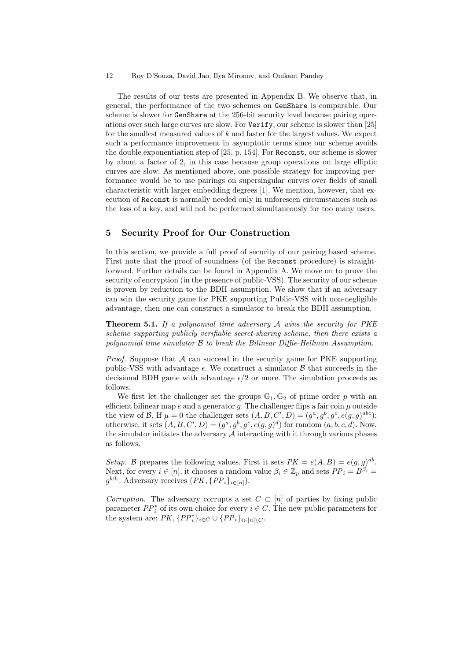The results of our tests are presented in Appendix B. We observe that, in general, the performance of the two schemes on GenShare is comparable. Our scheme is slower for GenShare at the 256-bit security level because pairing operations over such large curves are slow. For Verify, our scheme is slower than [25] for the smallest measured values of  $k$  and faster for the largest values. We expect such a performance improvement in asymptotic terms since our scheme avoids the double exponentiation step of [25, p. 154]. For Reconst, our scheme is slower by about a factor of 2, in this case because group operations on large elliptic curves are slow. As mentioned above, one possible strategy for improving performance would be to use pairings on supersingular curves over fields of small characteristic with larger embedding degrees [1]. We mention, however, that execution of Reconst is normally needed only in unforeseen circumstances such as the loss of a key, and will not be performed simultaneously for too many users.

## 5 Security Proof for Our Construction

In this section, we provide a full proof of security of our pairing based scheme. First note that the proof of soundness (of the Reconst procedure) is straightforward. Further details can be found in Appendix A. We move on to prove the security of encryption (in the presence of public-VSS). The security of our scheme is proven by reduction to the BDH assumption. We show that if an adversary can win the security game for PKE supporting Public-VSS with non-negligible advantage, then one can construct a simulator to break the BDH assumption.

**Theorem 5.1.** If a polynomial time adversary  $A$  wins the security for  $PKE$ scheme supporting publicly verifiable secret-sharing scheme, then there exists a polynomial time simulator B to break the Bilinear Diffie-Hellman Assumption.

*Proof.* Suppose that  $\mathcal A$  can succeed in the security game for PKE supporting public-VSS with advantage  $\epsilon$ . We construct a simulator  $\beta$  that succeeds in the decisional BDH game with advantage  $\epsilon/2$  or more. The simulation proceeds as follows.

We first let the challenger set the groups  $\mathbb{G}_1, \mathbb{G}_2$  of prime order p with an efficient bilinear map  $e$  and a generator  $g$ . The challenger flips a fair coin  $\mu$  outside the view of B. If  $\mu = 0$  the challenger sets  $(A, B, C', D) = (g^a, g^b, g^c, e(g, g)^{abc});$ otherwise, it sets  $(A, B, C', D) = (g^a, g^b, g^c, e(g, g)^d)$  for random  $(a, b, c, d)$ . Now, the simulator initiates the adversary  $A$  interacting with it through various phases as follows.

Setup. B prepares the following values. First it sets  $PK = e(A, B) = e(g, g)^{ab}$ . Next, for every  $i \in [n]$ , it chooses a random value  $\beta_i \in \mathbb{Z}_p$  and sets  $PP_i = B^{\beta_i} =$  $g^{b\beta_i}$ . Adversary receives  $(PK, {P\{P_i\}}_{i \in [n]})$ .

Corruption. The adversary corrupts a set  $C \subset [n]$  of parties by fixing public parameter  $PP_i^*$  of its own choice for every  $i \in C$ . The new public parameters for the system are:  $PK$ ,  $\{PP_i^*\}_{i \in C} \cup \{PP_i\}_{i \in [n] \setminus C}$ .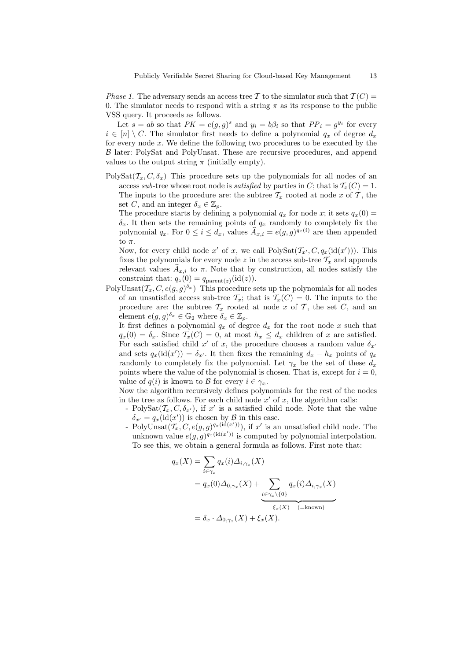*Phase 1.* The adversary sends an access tree T to the simulator such that  $T(C)$  = 0. The simulator needs to respond with a string  $\pi$  as its response to the public VSS query. It proceeds as follows.

Let  $s = ab$  so that  $PK = e(g, g)^s$  and  $y_i = b\beta_i$  so that  $PP_i = g^{y_i}$  for every  $i \in [n] \setminus C$ . The simulator first needs to define a polynomial  $q_x$  of degree  $d_x$ for every node x. We define the following two procedures to be executed by the B later: PolySat and PolyUnsat. These are recursive procedures, and append values to the output string  $\pi$  (initially empty).

PolySat $(\mathcal{T}_x, C, \delta_x)$  This procedure sets up the polynomials for all nodes of an access sub-tree whose root node is *satisfied* by parties in C; that is  $T_x(C) = 1$ . The inputs to the procedure are: the subtree  $\mathcal{T}_x$  rooted at node x of T, the set C, and an integer  $\delta_x \in \mathbb{Z}_p$ .

The procedure starts by defining a polynomial  $q_x$  for node x; it sets  $q_x(0)$  =  $\delta_x$ . It then sets the remaining points of  $q_x$  randomly to completely fix the polynomial  $q_x$ . For  $0 \le i \le d_x$ , values  $\widehat{A}_{x,i} = e(g, g)^{q_x(i)}$  are then appended to  $\pi$ .

Now, for every child node x' of x, we call  $PolySat(\mathcal{T}_{x'}, C, q_x(\text{id}(x')))$ . This fixes the polynomials for every node z in the access sub-tree  $\mathcal{T}_x$  and appends relevant values  $A_{x,i}$  to  $\pi$ . Note that by construction, all nodes satisfy the constraint that:  $q_z(0) = q_{\text{parent}(z)}(\text{id}(z)).$ 

PolyUnsat $(\mathcal{T}_x, C, e(g, g)^{\delta_x})$  This procedure sets up the polynomials for all nodes of an unsatisfied access sub-tree  $\mathcal{T}_x$ ; that is  $\mathcal{T}_x(C) = 0$ . The inputs to the procedure are: the subtree  $\mathcal{T}_x$  rooted at node x of  $\mathcal{T}_y$ , the set  $C$ , and an element  $e(g,g)^{\delta_x} \in \mathbb{G}_2$  where  $\delta_x \in \mathbb{Z}_p$ .

It first defines a polynomial  $q_x$  of degree  $d_x$  for the root node x such that  $q_x(0) = \delta_x$ . Since  $\mathcal{T}_x(C) = 0$ , at most  $h_x \leq d_x$  children of x are satisfied. For each satisfied child x' of x, the procedure chooses a random value  $\delta_x$ and sets  $q_x(\text{id}(x')) = \delta_{x'}$ . It then fixes the remaining  $d_x - h_x$  points of  $q_x$ randomly to completely fix the polynomial. Let  $\gamma_x$  be the set of these  $d_x$ points where the value of the polynomial is chosen. That is, except for  $i = 0$ , value of  $q(i)$  is known to B for every  $i \in \gamma_x$ .

Now the algorithm recursively defines polynomials for the rest of the nodes in the tree as follows. For each child node  $x'$  of  $x$ , the algorithm calls:

- PolySat $(\mathcal{T}_x, C, \delta_{x'})$ , if  $x'$  is a satisfied child node. Note that the value  $\delta_{x'} = q_x(\text{id}(x'))$  is chosen by  $\beta$  in this case.

- PolyUnsat $(\mathcal{T}_x, C, e(g, g)^{q_x(\text{id}(x'))})$ , if x' is an unsatisfied child node. The unknown value  $e(g, g)^{q_x(\text{id}(x'))}$  is computed by polynomial interpolation. To see this, we obtain a general formula as follows. First note that:

$$
q_x(X) = \sum_{i \in \gamma_x} q_x(i) \Delta_{i, \gamma_x}(X)
$$
  
=  $q_x(0) \Delta_{0, \gamma_x}(X) + \sum_{\substack{i \in \gamma_x \setminus \{0\} \\ \xi_x(X) \quad (\text{=known})}} q_x(i) \Delta_{i, \gamma_x}(X)$   
=  $\delta_x \cdot \Delta_{0, \gamma_x}(X) + \xi_x(X).$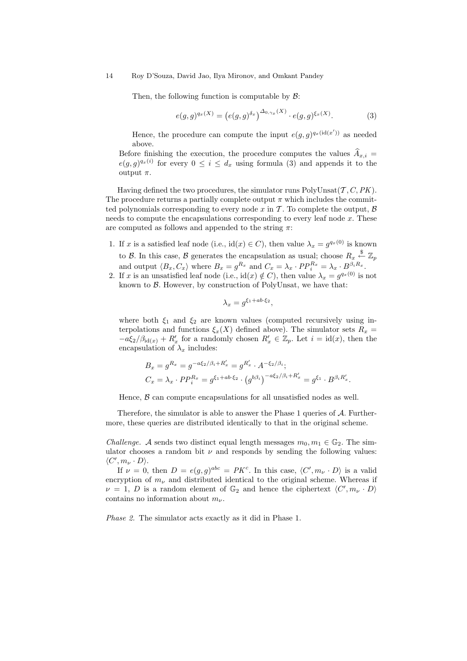Then, the following function is computable by  $\mathcal{B}$ :

$$
e(g,g)^{q_x(X)} = (e(g,g)^{\delta_x})^{\Delta_{0,\gamma_x}(X)} \cdot e(g,g)^{\xi_x(X)}.
$$
 (3)

Hence, the procedure can compute the input  $e(g,g)^{q_x(\text{id}(x'))}$  as needed above.

Before finishing the execution, the procedure computes the values  $\hat{A}_{x,i} =$  $e(g,g)^{q_x(i)}$  for every  $0 \leq i \leq d_x$  using formula (3) and appends it to the output π.

Having defined the two procedures, the simulator runs  $PolyUnsat(\mathcal{T}, C, PK)$ . The procedure returns a partially complete output  $\pi$  which includes the committed polynomials corresponding to every node x in  $\mathcal T$ . To complete the output,  $\mathcal B$ needs to compute the encapsulations corresponding to every leaf node  $x$ . These are computed as follows and appended to the string  $\pi$ :

- 1. If x is a satisfied leaf node (i.e.,  $\text{id}(x) \in C$ ), then value  $\lambda_x = g^{q_x(0)}$  is known to B. In this case, B generates the encapsulation as usual; choose  $R_x \stackrel{\$}{\leftarrow} \mathbb{Z}_p$ and output  $\langle B_x, C_x \rangle$  where  $B_x = g^{R_x}$  and  $C_x = \lambda_x \cdot PP_i^{R_x} = \lambda_x \cdot B_{\text{max}}^{\beta_i R_x}$ .
- 2. If x is an unsatisfied leaf node (i.e.,  $\mathrm{id}(x) \notin C$ ), then value  $\lambda_x = g^{q_x(0)}$  is not known to  $\beta$ . However, by construction of PolyUnsat, we have that:

$$
\lambda_x = g^{\xi_1 + ab \cdot \xi_2},
$$

where both  $\xi_1$  and  $\xi_2$  are known values (computed recursively using interpolations and functions  $\xi_x(X)$  defined above). The simulator sets  $R_x =$  $-a\xi_2/\beta_{\text{id}(x)} + R'_x$  for a randomly chosen  $R'_x \in \mathbb{Z}_p$ . Let  $i = \text{id}(x)$ , then the encapsulation of  $\lambda_x$  includes:

$$
B_x = g^{R_x} = g^{-a\xi_2/\beta_i + R'_x} = g^{R'_x} \cdot A^{-\xi_2/\beta_i};
$$
  
\n
$$
C_x = \lambda_x \cdot PP_i^{R_x} = g^{\xi_1 + ab \cdot \xi_2} \cdot (g^{b\beta_i})^{-a\xi_2/\beta_i + R'_x} = g^{\xi_1} \cdot B^{\beta_i R'_x}.
$$

Hence,  $\beta$  can compute encapsulations for all unsatisfied nodes as well.

Therefore, the simulator is able to answer the Phase 1 queries of  $A$ . Furthermore, these queries are distributed identically to that in the original scheme.

*Challenge.* A sends two distinct equal length messages  $m_0, m_1 \in \mathbb{G}_2$ . The simulator chooses a random bit  $\nu$  and responds by sending the following values:  $\langle C', m_{\nu} \cdot D \rangle$ .

If  $\nu = 0$ , then  $D = e(g, g)^{abc} = PK^c$ . In this case,  $\langle C', m_{\nu} \cdot D \rangle$  is a valid encryption of  $m_{\nu}$  and distributed identical to the original scheme. Whereas if  $\nu = 1, D$  is a random element of  $\mathbb{G}_2$  and hence the ciphertext  $\langle C', m_{\nu} \cdot D \rangle$ contains no information about  $m_{\nu}$ .

Phase 2. The simulator acts exactly as it did in Phase 1.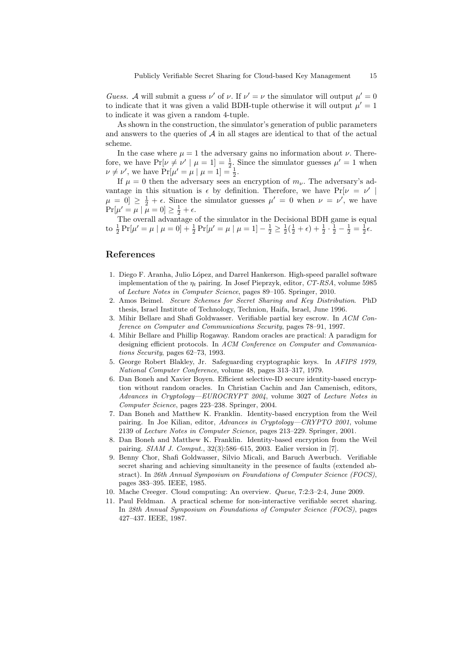Guess. A will submit a guess  $\nu'$  of  $\nu$ . If  $\nu' = \nu$  the simulator will output  $\mu' = 0$ to indicate that it was given a valid BDH-tuple otherwise it will output  $\mu' = 1$ to indicate it was given a random 4-tuple.

As shown in the construction, the simulator's generation of public parameters and answers to the queries of  $A$  in all stages are identical to that of the actual scheme.

In the case where  $\mu = 1$  the adversary gains no information about  $\nu$ . Therefore, we have  $Pr[\nu \neq \nu' \mid \mu = 1] = \frac{1}{2}$ . Since the simulator guesses  $\mu' = 1$  when  $\nu \neq \nu'$ , we have  $Pr[\mu' = \mu \mid \mu = 1] = \frac{1}{2}$ .

If  $\mu = 0$  then the adversary sees an encryption of  $m_{\nu}$ . The adversary's advantage in this situation is  $\epsilon$  by definition. Therefore, we have  $Pr[\nu = \nu' ]$  $\mu = 0$   $\geq \frac{1}{2} + \epsilon$ . Since the simulator guesses  $\mu' = 0$  when  $\nu = \nu'$ , we have  $\Pr[\mu' = \mu \mid \mu = 0] \ge \frac{1}{2} + \epsilon.$ 

The overall advantage of the simulator in the Decisional BDH game is equal to  $\frac{1}{2} \Pr[\mu' = \mu | \mu = 0] + \frac{1}{2} \Pr[\mu' = \mu | \mu = 1] - \frac{1}{2} \ge \frac{1}{2} (\frac{1}{2} + \epsilon) + \frac{1}{2} \cdot \frac{1}{2} - \frac{1}{2} = \frac{1}{2} \epsilon.$ 

## References

- 1. Diego F. Aranha, Julio L´opez, and Darrel Hankerson. High-speed parallel software implementation of the  $\eta_t$  pairing. In Josef Pieprzyk, editor, CT-RSA, volume 5985 of Lecture Notes in Computer Science, pages 89–105. Springer, 2010.
- 2. Amos Beimel. Secure Schemes for Secret Sharing and Key Distribution. PhD thesis, Israel Institute of Technology, Technion, Haifa, Israel, June 1996.
- 3. Mihir Bellare and Shafi Goldwasser. Verifiable partial key escrow. In ACM Conference on Computer and Communications Security, pages 78–91, 1997.
- 4. Mihir Bellare and Phillip Rogaway. Random oracles are practical: A paradigm for designing efficient protocols. In ACM Conference on Computer and Communications Security, pages 62–73, 1993.
- 5. George Robert Blakley, Jr. Safeguarding cryptographic keys. In AFIPS 1979, National Computer Conference, volume 48, pages 313–317, 1979.
- 6. Dan Boneh and Xavier Boyen. Efficient selective-ID secure identity-based encryption without random oracles. In Christian Cachin and Jan Camenisch, editors, Advances in Cryptology—EUROCRYPT 2004, volume 3027 of Lecture Notes in Computer Science, pages 223–238. Springer, 2004.
- 7. Dan Boneh and Matthew K. Franklin. Identity-based encryption from the Weil pairing. In Joe Kilian, editor, Advances in Cryptology—CRYPTO 2001, volume 2139 of Lecture Notes in Computer Science, pages 213–229. Springer, 2001.
- 8. Dan Boneh and Matthew K. Franklin. Identity-based encryption from the Weil pairing. SIAM J. Comput., 32(3):586–615, 2003. Ealier version in [7].
- 9. Benny Chor, Shafi Goldwasser, Silvio Micali, and Baruch Awerbuch. Verifiable secret sharing and achieving simultaneity in the presence of faults (extended abstract). In 26th Annual Symposium on Foundations of Computer Science (FOCS), pages 383–395. IEEE, 1985.
- 10. Mache Creeger. Cloud computing: An overview. Queue, 7:2:3–2:4, June 2009.
- 11. Paul Feldman. A practical scheme for non-interactive verifiable secret sharing. In 28th Annual Symposium on Foundations of Computer Science (FOCS), pages 427–437. IEEE, 1987.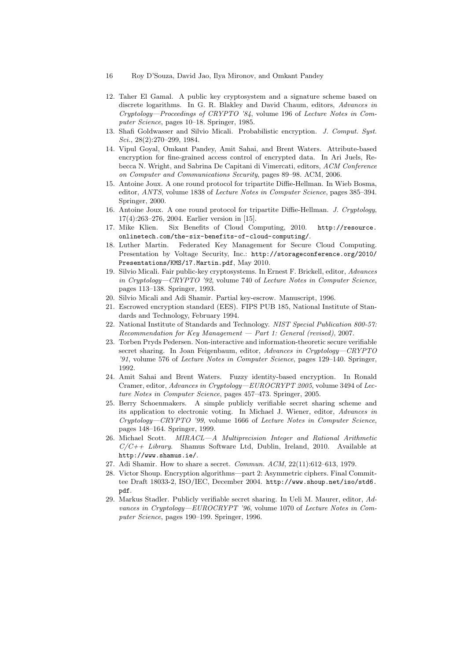- 16 Roy D'Souza, David Jao, Ilya Mironov, and Omkant Pandey
- 12. Taher El Gamal. A public key cryptosystem and a signature scheme based on discrete logarithms. In G. R. Blakley and David Chaum, editors, Advances in Cryptology—Proceedings of CRYPTO '84, volume 196 of Lecture Notes in Computer Science, pages 10–18. Springer, 1985.
- 13. Shafi Goldwasser and Silvio Micali. Probabilistic encryption. J. Comput. Syst. Sci., 28(2):270–299, 1984.
- 14. Vipul Goyal, Omkant Pandey, Amit Sahai, and Brent Waters. Attribute-based encryption for fine-grained access control of encrypted data. In Ari Juels, Rebecca N. Wright, and Sabrina De Capitani di Vimercati, editors, ACM Conference on Computer and Communications Security, pages 89–98. ACM, 2006.
- 15. Antoine Joux. A one round protocol for tripartite Diffie-Hellman. In Wieb Bosma, editor, ANTS, volume 1838 of Lecture Notes in Computer Science, pages 385–394. Springer, 2000.
- 16. Antoine Joux. A one round protocol for tripartite Diffie-Hellman. J. Cryptology, 17(4):263–276, 2004. Earlier version in [15].
- 17. Mike Klien. Six Benefits of Cloud Computing, 2010. http://resource. onlinetech.com/the-six-benefits-of-cloud-computing/.
- 18. Luther Martin. Federated Key Management for Secure Cloud Computing. Presentation by Voltage Security, Inc.: http://storageconference.org/2010/ Presentations/KMS/17.Martin.pdf, May 2010.
- 19. Silvio Micali. Fair public-key cryptosystems. In Ernest F. Brickell, editor, Advances in Cryptology—CRYPTO '92, volume 740 of Lecture Notes in Computer Science, pages 113–138. Springer, 1993.
- 20. Silvio Micali and Adi Shamir. Partial key-escrow. Manuscript, 1996.
- 21. Escrowed encryption standard (EES). FIPS PUB 185, National Institute of Standards and Technology, February 1994.
- 22. National Institute of Standards and Technology. NIST Special Publication 800-57: Recommendation for Key Management — Part 1: General (revised), 2007.
- 23. Torben Pryds Pedersen. Non-interactive and information-theoretic secure verifiable secret sharing. In Joan Feigenbaum, editor, Advances in Cryptology—CRYPTO '91, volume 576 of Lecture Notes in Computer Science, pages 129–140. Springer, 1992.
- 24. Amit Sahai and Brent Waters. Fuzzy identity-based encryption. In Ronald Cramer, editor, Advances in Cryptology—EUROCRYPT 2005, volume 3494 of Lecture Notes in Computer Science, pages 457–473. Springer, 2005.
- 25. Berry Schoenmakers. A simple publicly verifiable secret sharing scheme and its application to electronic voting. In Michael J. Wiener, editor, Advances in Cryptology—CRYPTO '99, volume 1666 of Lecture Notes in Computer Science, pages 148–164. Springer, 1999.
- 26. Michael Scott. MIRACL—A Multiprecision Integer and Rational Arithmetic  $C/C++$  Library. Shamus Software Ltd, Dublin, Ireland, 2010. Available at http://www.shamus.ie/.
- 27. Adi Shamir. How to share a secret. Commun. ACM, 22(11):612–613, 1979.
- 28. Victor Shoup. Encryption algorithms—part 2: Asymmetric ciphers. Final Committee Draft 18033-2, ISO/IEC, December 2004. http://www.shoup.net/iso/std6. pdf.
- 29. Markus Stadler. Publicly verifiable secret sharing. In Ueli M. Maurer, editor, Advances in Cryptology—EUROCRYPT '96, volume 1070 of Lecture Notes in Computer Science, pages 190–199. Springer, 1996.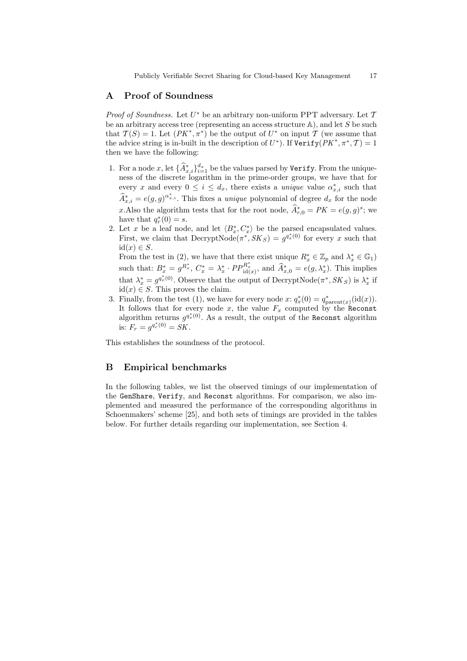## A Proof of Soundness

*Proof of Soundness.* Let  $U^*$  be an arbitrary non-uniform PPT adversary. Let  $T$ be an arbitrary access tree (representing an access structure  $A$ ), and let  $S$  be such that  $\mathcal{T}(S) = 1$ . Let  $(PK^*, \pi^*)$  be the output of  $U^*$  on input  $\mathcal{T}$  (we assume that the advice string is in-built in the description of  $U^*$ ). If  $\text{Verify}(PK^*, \pi^*, \mathcal{T}) = 1$ then we have the following:

- 1. For a node x, let  $\{\widehat{A}_{x,i}^*\}_{i=1}^{d_x}$  be the values parsed by Verify. From the uniqueness of the discrete logarithm in the prime-order groups, we have that for every x and every  $0 \leq i \leq d_x$ , there exists a *unique* value  $\alpha^*_{x,i}$  such that  $\widehat{A}^*_{x,i} = e(g,g)^{\alpha^*_{x,i}}$ . This fixes a *unique* polynomial of degree  $d_x$  for the node x. Also the algorithm tests that for the root node,  $\hat{A}^*_{r,0} = PK = e(g,g)^s$ ; we have that  $q_r^*(0) = s$ .
- 2. Let x be a leaf node, and let  $\langle B_x^*, C_x^* \rangle$  be the parsed encapsulated values. First, we claim that  $\text{DecryptNode}(\pi^*, SK_S) = g^{q^*_{x}(0)}$  for every x such that  $id(x) \in S$ .

From the test in (2), we have that there exist unique  $R_x^* \in \mathbb{Z}_p$  and  $\lambda_x^* \in \mathbb{G}_1$ such that:  $B_x^* = g^{R_x^*}$ ,  $C_x^* = \lambda_x^* \cdot PP_{id(x)}^{R_x^*}$ , and  $\hat{A}_{x,0}^* = e(g, \lambda_x^*)$ . This implies that  $\lambda_x^* = g^{q_x^*(0)}$ . Observe that the output of DecryptNode $(\pi^*, SK_S)$  is  $\lambda_x^*$  if  $id(x) \in S$ . This proves the claim.

3. Finally, from the test (1), we have for every node x:  $q_x^*(0) = q_{\text{parent}(x)}^*(\text{id}(x)).$ It follows that for every node x, the value  $F_x$  computed by the Reconst algorithm returns  $g^{q_x^*(0)}$ . As a result, the output of the Reconst algorithm is:  $F_r = g^{q_r^*(0)} = SK$ .

This establishes the soundness of the protocol.

#### B Empirical benchmarks

In the following tables, we list the observed timings of our implementation of the GenShare, Verify, and Reconst algorithms. For comparison, we also implemented and measured the performance of the corresponding algorithms in Schoenmakers' scheme [25], and both sets of timings are provided in the tables below. For further details regarding our implementation, see Section 4.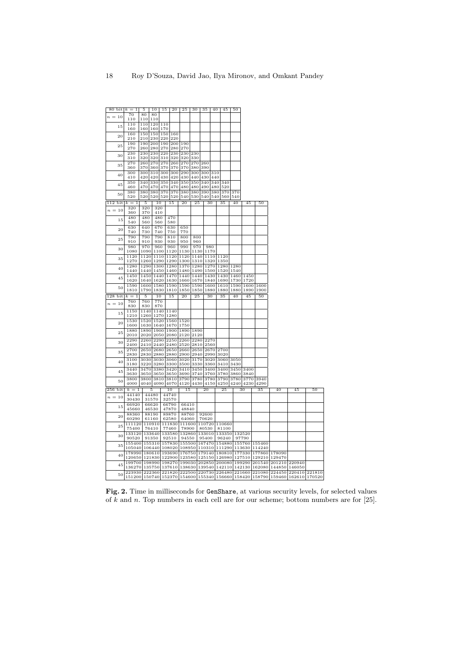|               | 80 bit $k=1$                                 | 5              |                 |     |                 | $10 \mid 15 \mid 20 \mid 25$                                                                                                                         | 30   | 35                     | 40  | 45     | 50             |       |                                                     |               |                                                                                                  |    |
|---------------|----------------------------------------------|----------------|-----------------|-----|-----------------|------------------------------------------------------------------------------------------------------------------------------------------------------|------|------------------------|-----|--------|----------------|-------|-----------------------------------------------------|---------------|--------------------------------------------------------------------------------------------------|----|
|               | 70                                           | 80   80        |                 |     |                 |                                                                                                                                                      |      |                        |     |        |                |       |                                                     |               |                                                                                                  |    |
| $n = 10$      | 110                                          | 110 110        |                 |     |                 |                                                                                                                                                      |      |                        |     |        |                |       |                                                     |               |                                                                                                  |    |
|               | 110                                          |                | 110 120 110     |     |                 |                                                                                                                                                      |      |                        |     |        |                |       |                                                     |               |                                                                                                  |    |
| 15            | 160                                          |                | 160 160 170     |     |                 |                                                                                                                                                      |      |                        |     |        |                |       |                                                     |               |                                                                                                  |    |
|               |                                              |                |                 |     |                 |                                                                                                                                                      |      |                        |     |        |                |       |                                                     |               |                                                                                                  |    |
| 20            | 160                                          |                | 150 150 150 160 |     |                 |                                                                                                                                                      |      |                        |     |        |                |       |                                                     |               |                                                                                                  |    |
|               | 210                                          |                | 210 230 220 220 |     |                 |                                                                                                                                                      |      |                        |     |        |                |       |                                                     |               |                                                                                                  |    |
| 25            | 190                                          |                |                 |     |                 | 190 200 190 200 190                                                                                                                                  |      |                        |     |        |                |       |                                                     |               |                                                                                                  |    |
|               | 270                                          |                | 260 280         | 270 |                 | 280 270                                                                                                                                              |      |                        |     |        |                |       |                                                     |               |                                                                                                  |    |
| 30            | 230                                          |                | 230 230         | 220 |                 | 230 230                                                                                                                                              | 230  |                        |     |        |                |       |                                                     |               |                                                                                                  |    |
|               | 310                                          | 320            | 320             | 310 |                 | 320 320                                                                                                                                              | 330  |                        |     |        |                |       |                                                     |               |                                                                                                  |    |
| 35            | 270                                          | 260            | 270             | 270 |                 | 260 270                                                                                                                                              | 270  | 260                    |     |        |                |       |                                                     |               |                                                                                                  |    |
|               | 360                                          | 370            | 360             | 370 | 370             | 370                                                                                                                                                  | 380  | 390                    |     |        |                |       |                                                     |               |                                                                                                  |    |
| 40            | 300                                          |                |                 |     |                 | 300 310 300 300 290                                                                                                                                  |      | 300 300 310            |     |        |                |       |                                                     |               |                                                                                                  |    |
|               | 410                                          |                | 420 420 430     |     |                 | 420 430                                                                                                                                              |      | 440 430                | 440 |        |                |       |                                                     |               |                                                                                                  |    |
| 45            | 350                                          |                |                 |     |                 | 340 330 350 340 350                                                                                                                                  |      | 350 340 340 340        |     |        |                |       |                                                     |               |                                                                                                  |    |
|               | 460                                          |                |                 |     |                 | 470 470 470 470 480                                                                                                                                  |      | 480 490 480 520        |     |        |                |       |                                                     |               |                                                                                                  |    |
| 50            | 380                                          |                |                 |     |                 | 380 380 370 370 380 380 390 380 370 370                                                                                                              |      |                        |     |        |                |       |                                                     |               |                                                                                                  |    |
|               | 520                                          |                |                 |     |                 | 520 520 520 520 540                                                                                                                                  |      | 530 540 540 560 540    |     |        |                |       |                                                     |               |                                                                                                  |    |
| 112 bit $k=1$ |                                              | $\overline{5}$ | 10              |     | 15              | $\overline{20}$                                                                                                                                      | 25   | 30                     |     | 35     | 40             | 45    | 50                                                  |               |                                                                                                  |    |
|               | 320                                          | 320            | 320             |     |                 |                                                                                                                                                      |      |                        |     |        |                |       |                                                     |               |                                                                                                  |    |
| $n = 10$      | 360                                          | 370            | 410             |     |                 |                                                                                                                                                      |      |                        |     |        |                |       |                                                     |               |                                                                                                  |    |
|               | 480                                          | 480            | 480             |     | 470             |                                                                                                                                                      |      |                        |     |        |                |       |                                                     |               |                                                                                                  |    |
| 15            | 540                                          | 560            | 560             |     | 580             |                                                                                                                                                      |      |                        |     |        |                |       |                                                     |               |                                                                                                  |    |
|               | 630                                          | 640            | 670             |     | 630             | 650                                                                                                                                                  |      |                        |     |        |                |       |                                                     |               |                                                                                                  |    |
| 20            | 740                                          | 730            | 740             |     | 750             | 770                                                                                                                                                  |      |                        |     |        |                |       |                                                     |               |                                                                                                  |    |
|               | 790                                          | 790            | 790             |     | 810             | 800                                                                                                                                                  | 800  |                        |     |        |                |       |                                                     |               |                                                                                                  |    |
| 25            | 910                                          | 910            | 930             |     | 930             | 950                                                                                                                                                  | 960  |                        |     |        |                |       |                                                     |               |                                                                                                  |    |
|               | 980                                          | 970            | 960             |     | 960             | 990                                                                                                                                                  | 970  | 980                    |     |        |                |       |                                                     |               |                                                                                                  |    |
| 30            | 1080                                         |                | 1090 1100       |     |                 | 1120 1130                                                                                                                                            | 1130 | 1170                   |     |        |                |       |                                                     |               |                                                                                                  |    |
|               |                                              |                |                 |     |                 |                                                                                                                                                      |      |                        |     |        |                |       |                                                     |               |                                                                                                  |    |
| 35            | 1120                                         |                | 1260 1290       |     |                 | 1120 1110 1120 1120 1140 1110 1120                                                                                                                   |      |                        |     |        |                |       |                                                     |               |                                                                                                  |    |
|               | 1270<br>1280                                 |                | 1290 1300       |     |                 | 1290 1300 1310 1320 1350                                                                                                                             |      |                        |     |        |                |       |                                                     |               |                                                                                                  |    |
| 40            | 1440                                         |                | 1440 1450       |     |                 | 1280 1370 1280 1270 1280 1280<br>1460 1480                                                                                                           | 1490 |                        |     |        | 1500 1520 1540 |       |                                                     |               |                                                                                                  |    |
|               | 1450                                         | 1450           | 1440            |     | 1470            | 1440                                                                                                                                                 | 1440 | 1430                   |     | 1430   | 1460           | 1450  |                                                     |               |                                                                                                  |    |
| 45            | 1620                                         | 1640           | 1620            |     | 1630            | 1660                                                                                                                                                 | 1670 | 1840                   |     | 1690   | 1730           | 1720  |                                                     |               |                                                                                                  |    |
|               | 1590                                         | 1600           | 1580            |     | 1590            | 1590                                                                                                                                                 | 1590 | 1600                   |     | 1610   | 1590           | 1600  | 1600                                                |               |                                                                                                  |    |
| 50            | 1810                                         | 1790           | 1830            |     | 1810            | 1850                                                                                                                                                 | 1850 | 1880                   |     | 1880   | 1880           | 1890  | 1900                                                |               |                                                                                                  |    |
|               |                                              |                |                 |     |                 |                                                                                                                                                      |      |                        |     |        |                |       |                                                     |               |                                                                                                  |    |
|               |                                              |                |                 |     |                 |                                                                                                                                                      |      |                        |     |        |                |       |                                                     |               |                                                                                                  |    |
| $128$ bit     | $k =$<br>$\overline{1}$                      | 5              | 10              |     | 15              | 20                                                                                                                                                   | 25   | 30                     |     | 35     | 40             | 45    | 50                                                  |               |                                                                                                  |    |
| $n = 10$      | 760                                          | 760            | 770             |     |                 |                                                                                                                                                      |      |                        |     |        |                |       |                                                     |               |                                                                                                  |    |
|               | 830                                          | 830            | 870             |     |                 |                                                                                                                                                      |      |                        |     |        |                |       |                                                     |               |                                                                                                  |    |
| 15            | 1150                                         |                | 1140 1140 1140  |     |                 |                                                                                                                                                      |      |                        |     |        |                |       |                                                     |               |                                                                                                  |    |
|               | 1210                                         |                | 1260 1270 1280  |     |                 |                                                                                                                                                      |      |                        |     |        |                |       |                                                     |               |                                                                                                  |    |
| 20            | 1530                                         |                |                 |     |                 | 1520 1520 1560 1520                                                                                                                                  |      |                        |     |        |                |       |                                                     |               |                                                                                                  |    |
|               | 1600                                         |                |                 |     |                 | 1630 1640 1670 1750                                                                                                                                  |      |                        |     |        |                |       |                                                     |               |                                                                                                  |    |
| 25            | 1880                                         |                |                 |     |                 | 1890 1900 1900 1890                                                                                                                                  | 1890 |                        |     |        |                |       |                                                     |               |                                                                                                  |    |
|               | 2010                                         |                | 2020 2050       |     | 2080            | 2120                                                                                                                                                 | 2120 |                        |     |        |                |       |                                                     |               |                                                                                                  |    |
| 30            | 2290                                         |                |                 |     |                 |                                                                                                                                                      |      |                        |     |        |                |       |                                                     |               |                                                                                                  |    |
|               | 2400                                         |                |                 |     |                 | $\begin{array}{ c c c c c c }\hline 2260 & 2290 & 2250 & 2260 & 2280 & 2270 \\ \hline 2410 & 2440 & 2480 & 2520 & 2810 & 2560 \\ \hline \end{array}$ |      |                        |     |        |                |       |                                                     |               |                                                                                                  |    |
|               | 2700                                         |                |                 |     |                 | 2650 2680 2650 2660 2650 2670 2700                                                                                                                   |      |                        |     |        |                |       |                                                     |               |                                                                                                  |    |
| 35            | 2830                                         |                |                 |     |                 | 2830 2880 2880 2900 2940 2990 3020                                                                                                                   |      |                        |     |        |                |       |                                                     |               |                                                                                                  |    |
|               | 3100 3030 3030 3060 3020 3170 3020 3060 3050 |                |                 |     |                 |                                                                                                                                                      |      |                        |     |        |                |       |                                                     |               |                                                                                                  |    |
| 40            | 3180                                         |                |                 |     |                 | 3220   3280   3300   3500   3330   3360   3410   3430                                                                                                |      |                        |     |        |                |       |                                                     |               |                                                                                                  |    |
|               | 3440                                         |                |                 |     |                 | 3470 3380 3420 3410 3450 3400 3400 3450 3400                                                                                                         |      |                        |     |        |                |       |                                                     |               |                                                                                                  |    |
| 45            | 3630                                         |                |                 |     |                 | 3650 3650 3650 3690 3740 3760 3780 3860 3840                                                                                                         |      |                        |     |        |                |       |                                                     |               |                                                                                                  |    |
|               | 3800                                         |                |                 |     |                 |                                                                                                                                                      |      |                        |     |        |                |       | 3800 3810 3810 3790 3780 3780 3790 3780 3770 3940   |               |                                                                                                  |    |
| 50            | 4000                                         |                | 4040 4090       |     |                 | 4070 4120 4430 4150                                                                                                                                  |      |                        |     |        | 4250 4240 4230 |       | 4290                                                |               |                                                                                                  |    |
| $256$ bit     | $k=1$                                        |                | 5               |     | 10              | 15                                                                                                                                                   |      | $^{20}$                |     | 25     |                | 30    | 35                                                  | 40            | 45                                                                                               | 50 |
|               | 44140                                        |                | 44480           |     | 44740           |                                                                                                                                                      |      |                        |     |        |                |       |                                                     |               |                                                                                                  |    |
| $n = 10$      | 30430                                        |                | 31570           |     | 32570           |                                                                                                                                                      |      |                        |     |        |                |       |                                                     |               |                                                                                                  |    |
|               |                                              |                | 66620           |     | 66790           | 66410                                                                                                                                                |      |                        |     |        |                |       |                                                     |               |                                                                                                  |    |
| 1.5           | 66920<br>45660                               |                | 46530           |     | 47870           | 48840                                                                                                                                                |      |                        |     |        |                |       |                                                     |               |                                                                                                  |    |
|               | 88360                                        |                | 88190           |     | 89870           | 88760                                                                                                                                                |      | 92600                  |     |        |                |       |                                                     |               |                                                                                                  |    |
| 20            | 60290                                        |                | 61160           |     | 62580           | 64060                                                                                                                                                |      | 70620                  |     |        |                |       |                                                     |               |                                                                                                  |    |
|               | 111120                                       |                | 110910          |     | 111830          | 111600                                                                                                                                               |      | 110720                 |     | 110660 |                |       |                                                     |               |                                                                                                  |    |
| 25            |                                              |                |                 |     |                 |                                                                                                                                                      |      |                        |     |        |                |       |                                                     |               |                                                                                                  |    |
|               | 75400<br>133120                              |                | 76410<br>133640 |     | 77460<br>133580 | 78900                                                                                                                                                |      | 80530<br>132860 133010 |     | 81100  | 133350 132520  |       |                                                     |               |                                                                                                  |    |
| 30            | 90520                                        |                | 91350           |     | 92510           | 94550                                                                                                                                                |      | 95400                  |     | 96240  |                | 97790 |                                                     |               |                                                                                                  |    |
|               | 155400 155310                                |                |                 |     |                 |                                                                                                                                                      |      |                        |     |        |                |       |                                                     |               |                                                                                                  |    |
| 35            | 105040 106440                                |                |                 |     | 108020          | 108950 110310 111290 113630                                                                                                                          |      |                        |     |        |                |       | 157830 155500 167470 154880 155760 155460<br>114240 |               |                                                                                                  |    |
|               | 178990 180610                                |                |                 |     |                 | 193690 176750 179140 180810 177330                                                                                                                   |      |                        |     |        |                |       |                                                     | 177860 178090 |                                                                                                  |    |
| 40            | 120650                                       |                | 121830          |     | 122900          | 123580                                                                                                                                               |      | 125150                 |     |        | 126980 127510  |       | 129210                                              | 129470        |                                                                                                  |    |
|               | 199700 198990                                |                |                 |     |                 | 198270 199030 202850                                                                                                                                 |      |                        |     |        |                |       | 201540                                              |               | 201210 220940                                                                                    |    |
| 45            | 136270 135750                                |                |                 |     |                 | 137610 138630 139540 142110 142130                                                                                                                   |      |                        |     |        | 200080 199290  |       | 162080                                              | 144850 146050 |                                                                                                  |    |
|               |                                              |                |                 |     |                 |                                                                                                                                                      |      |                        |     |        |                |       |                                                     |               | 223930 222360 221820 222500 220730 226480 221660 221080 224450 220410 221810                     |    |
| 50            |                                              |                |                 |     |                 |                                                                                                                                                      |      |                        |     |        |                |       |                                                     |               | 151200   150740   152370   154600   155340   156660   158420   158790   159460   162610   170520 |    |

Fig. 2. Time in milliseconds for GenShare, at various security levels, for selected values of  $k$  and  $n$ . Top numbers in each cell are for our scheme; bottom numbers are for  $[25]$ .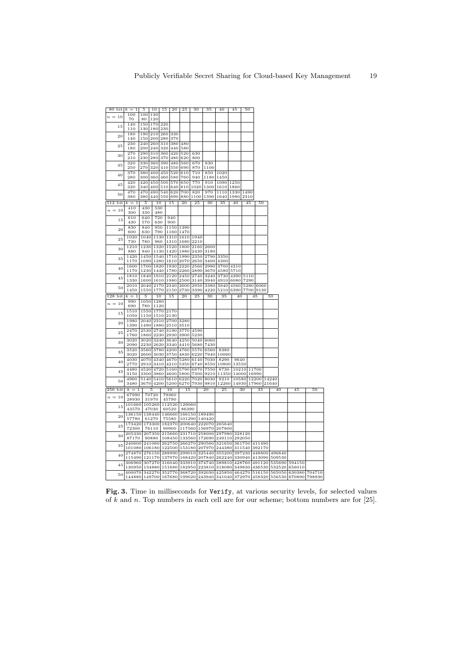|           |         | 80 bit $k=1$                          | 5                              | 10              | 15         | 20                      | 25                       | 30              | 35                                                                       | 40           |               | 45            | 50                         |    |    |    |    |                                                                                                                                                |    |
|-----------|---------|---------------------------------------|--------------------------------|-----------------|------------|-------------------------|--------------------------|-----------------|--------------------------------------------------------------------------|--------------|---------------|---------------|----------------------------|----|----|----|----|------------------------------------------------------------------------------------------------------------------------------------------------|----|
| $n=10$    |         | 100<br>70                             | 100 130<br>80                  | 120             |            |                         |                          |                 |                                                                          |              |               |               |                            |    |    |    |    |                                                                                                                                                |    |
|           | 15      | 140                                   | 150 170 220                    |                 |            |                         |                          |                 |                                                                          |              |               |               |                            |    |    |    |    |                                                                                                                                                |    |
|           |         | 110<br>180                            | 130 180 230<br>190 210 260 330 |                 |            |                         |                          |                 |                                                                          |              |               |               |                            |    |    |    |    |                                                                                                                                                |    |
|           | 20      | 140                                   | 150 200                        |                 |            | 280 370                 |                          |                 |                                                                          |              |               |               |                            |    |    |    |    |                                                                                                                                                |    |
|           | 25      | 230                                   | 240 260 310 380 480            |                 |            |                         |                          |                 |                                                                          |              |               |               |                            |    |    |    |    |                                                                                                                                                |    |
|           |         | 180<br>270                            | 200 240<br>290 310             |                 | 320        |                         | 440 580<br>360 420 520   | 630             |                                                                          |              |               |               |                            |    |    |    |    |                                                                                                                                                |    |
|           | 30      | 210                                   | 230 280                        |                 | 370        | 480                     | 620                      | 800             |                                                                          |              |               |               |                            |    |    |    |    |                                                                                                                                                |    |
|           | 35      | $\overline{320}$<br>250               | 330 360                        |                 | 410        | 390 480                 | 560                      | 670<br>870      | 830<br>1100                                                              |              |               |               |                            |    |    |    |    |                                                                                                                                                |    |
|           |         | 370                                   | 270<br>380                     | 320<br>400      | 450        | 550<br>520              | 690<br>610               | 710             | 850                                                                      | 1020         |               |               |                            |    |    |    |    |                                                                                                                                                |    |
|           | 40      | 280                                   | 300                            | 360             | 460        | 580                     | 760                      | 940             | 1180                                                                     | 1450         |               |               |                            |    |    |    |    |                                                                                                                                                |    |
|           | 45      | 420<br>320                            | 420<br>340                     | 450<br>400      | 500<br>510 | 570<br>640              | 650<br>810               | 770<br>1020     | 910<br>1300                                                              | 1090<br>1610 |               | 1250<br>1860  |                            |    |    |    |    |                                                                                                                                                |    |
|           |         | 470                                   | 470 490 540 620                |                 |            |                         | 700                      | 820             | 970                                                                      | 1110         |               |               | 1330 1490                  |    |    |    |    |                                                                                                                                                |    |
|           | 50      | 380                                   | 380                            | 440 550         |            | 690                     | 880                      | 1100            | 1390                                                                     | 1640         |               |               | 1980 2310                  |    |    |    |    |                                                                                                                                                |    |
| $112$ bit |         | $k =$<br>1<br>410                     | 5<br>430                       | 10<br>530       |            | 15                      | $\overline{20}$          | 25              | 30                                                                       | 35           |               | 40            | 45                         |    | 50 |    |    |                                                                                                                                                |    |
| $n = 10$  |         | 300                                   | 330                            | 480             |            |                         |                          |                 |                                                                          |              |               |               |                            |    |    |    |    |                                                                                                                                                |    |
|           | 15      | 610                                   | 640                            | 720             |            | 940                     |                          |                 |                                                                          |              |               |               |                            |    |    |    |    |                                                                                                                                                |    |
|           |         | 430<br>830                            | 570<br>840                     | 630<br>950      |            | 900                     | 1150 1390                |                 |                                                                          |              |               |               |                            |    |    |    |    |                                                                                                                                                |    |
|           | $^{20}$ | 600                                   | 630                            | 790             |            | 1160                    | 1470                     |                 |                                                                          |              |               |               |                            |    |    |    |    |                                                                                                                                                |    |
|           | 25      | 1020                                  | 1040                           | 1130            |            |                         | 1310 1610 1940           |                 |                                                                          |              |               |               |                            |    |    |    |    |                                                                                                                                                |    |
|           |         | 730<br>1210                           | 780<br>1230 1320               | 960             |            |                         | 1310 1680                | 2210            | 1520 1800 2160 2600                                                      |              |               |               |                            |    |    |    |    |                                                                                                                                                |    |
|           | 30      | 880                                   | 940                            | 1130            |            |                         |                          |                 | 1420 1880 2430 3180                                                      |              |               |               |                            |    |    |    |    |                                                                                                                                                |    |
|           | 35      | 1420                                  |                                |                 |            |                         |                          |                 | 1450 1540 1710 1990 2350 2790 3350                                       |              |               |               |                            |    |    |    |    |                                                                                                                                                |    |
|           |         | 1170<br>1600                          | 1090 1280<br>1700 1820         |                 |            |                         | 1610 2070                |                 | 2650 3400 4300<br>1930 2220 2560 2990 3700 4310                          |              |               |               |                            |    |    |    |    |                                                                                                                                                |    |
|           | 40      | 1170                                  | 1230 1440                      |                 |            |                         |                          |                 | 1780 2260 2890 3670 4580 5710                                            |              |               |               |                            |    |    |    |    |                                                                                                                                                |    |
|           | 45      | 1810<br>1330                          | 1840 1910<br>1600 1610         |                 |            |                         |                          |                 | 2120 2450 2740 3240 3730 4390 5110<br>1980 2500 3140 3940 4910 6080 7290 |              |               |               |                            |    |    |    |    |                                                                                                                                                |    |
|           |         | 2010                                  | 2040 2170                      |                 |            |                         |                          |                 | 2340 2600 2950 3380 3940 4560 5280 6060                                  |              |               |               |                            |    |    |    |    |                                                                                                                                                |    |
|           | 50      | 1450                                  | 1550 1770                      |                 |            |                         |                          |                 | 2150 2730 3390 4220 5210 6390 7700 9130                                  |              |               |               |                            |    |    |    |    |                                                                                                                                                |    |
| $128$ bit |         | $k=1$                                 | $\overline{5}$                 | 10              |            | $\overline{15}$         | $\overline{20}$          | $\overline{25}$ | 30                                                                       |              | 35            | 40            |                            | 45 |    | 50 |    |                                                                                                                                                |    |
| $n = 10$  |         | 990<br>690                            | 1050 1280<br>780               | 1120            |            |                         |                          |                 |                                                                          |              |               |               |                            |    |    |    |    |                                                                                                                                                |    |
|           | 15      | 1510                                  | 1550 1770 2170                 |                 |            |                         |                          |                 |                                                                          |              |               |               |                            |    |    |    |    |                                                                                                                                                |    |
|           |         | 1050<br>1980                          | 1150 1510 2130                 |                 |            |                         | 2040 2310 2700 3280      |                 |                                                                          |              |               |               |                            |    |    |    |    |                                                                                                                                                |    |
|           | 20      | 1390                                  |                                |                 |            |                         | 1490 1880 2510 3510      |                 |                                                                          |              |               |               |                            |    |    |    |    |                                                                                                                                                |    |
|           | 25      | 2470                                  | 2530 2740 3190 3770 4590       |                 |            |                         |                          |                 |                                                                          |              |               |               |                            |    |    |    |    |                                                                                                                                                |    |
|           |         | 1760<br>3020                          |                                |                 |            |                         | 1860 2230 2930 3900 5230 |                 | 3020 3240 3640 4250 5040 6060                                            |              |               |               |                            |    |    |    |    |                                                                                                                                                |    |
|           | 30      | 2090                                  |                                |                 |            |                         |                          |                 | 2230 2620 3340 4410 5680 7430                                            |              |               |               |                            |    |    |    |    |                                                                                                                                                |    |
|           | 35      | 3520<br>3020                          |                                |                 |            |                         |                          |                 | 3560 3780 4200 4760 5570 6560<br>2600 3030 3750 4830 6220 7940 10060     | 8380         |               |               |                            |    |    |    |    |                                                                                                                                                |    |
|           |         | 4030                                  |                                |                 |            |                         |                          |                 | 4070 4340 4670 5280 6140 7030                                            |              | 8290          | 9640          |                            |    |    |    |    |                                                                                                                                                |    |
|           | 40      | 2770                                  |                                |                 |            |                         |                          |                 | 2910 3410 4210 5350 6740 8550                                            |              | 10800         | 13550         |                            |    |    |    |    |                                                                                                                                                |    |
|           | 45      | 4480<br>3150                          | 3300 3860                      |                 |            |                         | 4600 5800                |                 | 4520 4720 5160 5790 6870 7550<br>7300 9210                               |              | 8730<br>11350 |               | 10210 11700<br>14000 16990 |    |    |    |    |                                                                                                                                                |    |
|           | 50      | 4960                                  |                                |                 |            |                         |                          |                 | 5140 5410 5610 6220 7020 8030                                            |              | 9210          |               | 10580 12200 14240          |    |    |    |    |                                                                                                                                                |    |
|           |         | 3480                                  | 3670 4200                      |                 |            |                         |                          |                 | 5200 6270 7930 9810                                                      |              | 12260         |               | 14930 17960 21640          |    |    |    |    |                                                                                                                                                |    |
| $256$ bit |         | $k = 1$<br>67990                      |                                | 5<br>70720      |            | 1 <sub>0</sub><br>79360 | 15                       |                 | 20                                                                       |              | 25            |               | 30                         | 35 |    |    | 40 | 45                                                                                                                                             | 50 |
| $n = 10$  |         | 28930                                 |                                | 31970           |            | 45790                   |                          |                 |                                                                          |              |               |               |                            |    |    |    |    |                                                                                                                                                |    |
|           | 1.5     | 101660                                |                                | 105260<br>47030 |            | 112520                  | 129060<br>86390          |                 |                                                                          |              |               |               |                            |    |    |    |    |                                                                                                                                                |    |
|           |         | 43570<br>136150                       |                                | 138440          |            | 60520<br>146660         |                          |                 | 166150 189490                                                            |              |               |               |                            |    |    |    |    |                                                                                                                                                |    |
|           | 20      | 57780                                 |                                | 61270           |            | 75580                   | 101290                   |                 | 140420                                                                   |              |               |               |                            |    |    |    |    |                                                                                                                                                |    |
|           | 25      | 173420<br>72300                       |                                | 173300<br>76110 |            | 182370<br>90900         | 200640<br>117560         |                 | 222070<br>156970                                                         | 265640       | 207800        |               |                            |    |    |    |    |                                                                                                                                                |    |
|           |         | 205330                                |                                | 207350          |            | 215660                  | 231710                   |                 | 258000                                                                   |              |               | 297980 328120 |                            |    |    |    |    |                                                                                                                                                |    |
|           | 30      | 87170                                 |                                | 90880           |            | 108450                  | 133560                   |                 | 172690                                                                   | 249110       |               |               | 292050                     |    |    |    |    |                                                                                                                                                |    |
|           | 35      | 240600 241060 262750<br>101080 106180 |                                |                 |            | 122500                  | 266270<br>153180         |                 | 290560 321650 361750 411490<br>207970 244380 311540 392170               |              |               |               |                            |    |    |    |    |                                                                                                                                                |    |
|           | 40      |                                       |                                |                 |            |                         |                          |                 | 274870 276150 288990 299010 325440 355200 397230 448800 496840           |              |               |               |                            |    |    |    |    |                                                                                                                                                |    |
|           |         |                                       |                                |                 |            |                         |                          |                 | 115490 121170 137970 168420 207840 262240 330940 413090 509530           |              |               |               |                            |    |    |    |    |                                                                                                                                                |    |
|           | 45      |                                       |                                |                 |            |                         |                          |                 |                                                                          |              |               |               |                            |    |    |    |    | 306960 307270 316040 333910 374740 389810 428760 491120 535690 594150<br>130950 134880 151680 182950 223810 318080 349830 436530 532520 656010 |    |
|           | 50      |                                       |                                |                 |            |                         |                          |                 |                                                                          |              |               |               |                            |    |    |    |    | 400070 342270 352770 368720 392030 425850 464270 516150 565050 630380 704710                                                                   |    |
|           |         |                                       |                                |                 |            |                         |                          |                 |                                                                          |              |               |               |                            |    |    |    |    | 144880 149700 167680 199020 243940 341040 372970 458320 556530 670890 798930                                                                   |    |

Fig. 3. Time in milliseconds for Verify, at various security levels, for selected values of  $k$  and  $n$ . Top numbers in each cell are for our scheme; bottom numbers are for  $[25]$ .